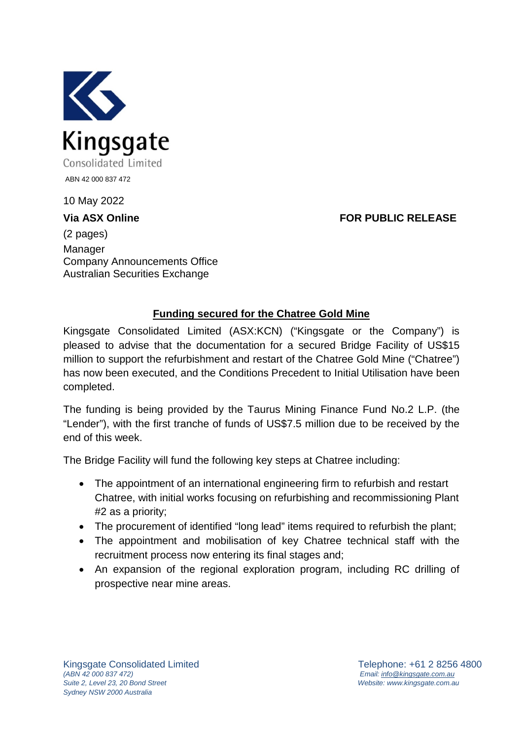

10 May 2022

**Via ASX Online FOR PUBLIC RELEASE**

(2 pages) Manager Company Announcements Office Australian Securities Exchange

## **Funding secured for the Chatree Gold Mine**

Kingsgate Consolidated Limited (ASX:KCN) ("Kingsgate or the Company") is pleased to advise that the documentation for a secured Bridge Facility of US\$15 million to support the refurbishment and restart of the Chatree Gold Mine ("Chatree") has now been executed, and the Conditions Precedent to Initial Utilisation have been completed.

The funding is being provided by the Taurus Mining Finance Fund No.2 L.P. (the "Lender"), with the first tranche of funds of US\$7.5 million due to be received by the end of this week.

The Bridge Facility will fund the following key steps at Chatree including:

- The appointment of an international engineering firm to refurbish and restart Chatree, with initial works focusing on refurbishing and recommissioning Plant #2 as a priority;
- The procurement of identified "long lead" items required to refurbish the plant;
- The appointment and mobilisation of key Chatree technical staff with the recruitment process now entering its final stages and;
- An expansion of the regional exploration program, including RC drilling of prospective near mine areas.